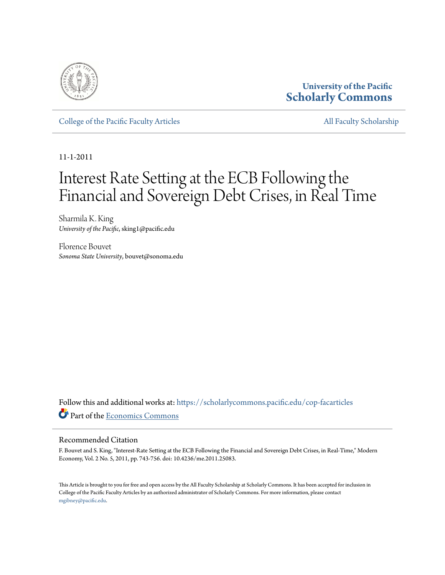

### **University of the Pacific [Scholarly Commons](https://scholarlycommons.pacific.edu?utm_source=scholarlycommons.pacific.edu%2Fcop-facarticles%2F197&utm_medium=PDF&utm_campaign=PDFCoverPages)**

[College of the Pacific Faculty Articles](https://scholarlycommons.pacific.edu/cop-facarticles?utm_source=scholarlycommons.pacific.edu%2Fcop-facarticles%2F197&utm_medium=PDF&utm_campaign=PDFCoverPages) [All Faculty Scholarship](https://scholarlycommons.pacific.edu/cop-facultyworks?utm_source=scholarlycommons.pacific.edu%2Fcop-facarticles%2F197&utm_medium=PDF&utm_campaign=PDFCoverPages)

11-1-2011

# Interest Rate Setting at the ECB Following the Financial and Sovereign Debt Crises, in Real Time

Sharmila K. King *University of the Pacific*, sking1@pacific.edu

Florence Bouvet *Sonoma State University*, bouvet@sonoma.edu

Follow this and additional works at: [https://scholarlycommons.pacific.edu/cop-facarticles](https://scholarlycommons.pacific.edu/cop-facarticles?utm_source=scholarlycommons.pacific.edu%2Fcop-facarticles%2F197&utm_medium=PDF&utm_campaign=PDFCoverPages) Part of the [Economics Commons](http://network.bepress.com/hgg/discipline/340?utm_source=scholarlycommons.pacific.edu%2Fcop-facarticles%2F197&utm_medium=PDF&utm_campaign=PDFCoverPages)

#### Recommended Citation

F. Bouvet and S. King, "Interest-Rate Setting at the ECB Following the Financial and Sovereign Debt Crises, in Real-Time," Modern Economy, Vol. 2 No. 5, 2011, pp. 743-756. doi: 10.4236/me.2011.25083.

This Article is brought to you for free and open access by the All Faculty Scholarship at Scholarly Commons. It has been accepted for inclusion in College of the Pacific Faculty Articles by an authorized administrator of Scholarly Commons. For more information, please contact [mgibney@pacific.edu.](mailto:mgibney@pacific.edu)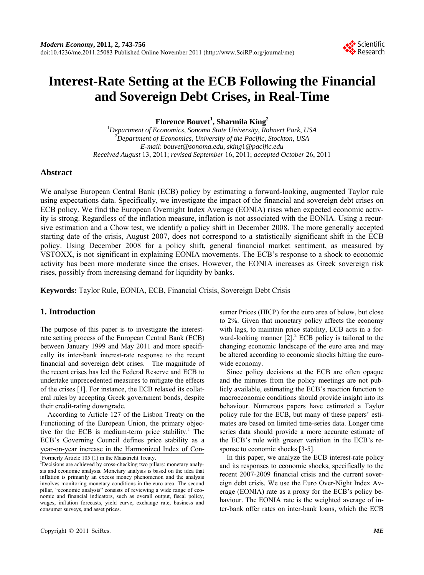## **Interest-Rate Setting at the ECB Following the Financial and Sovereign Debt Crises, in Real-Time**

**Florence Bouvet<sup>1</sup> , Sharmila King<sup>2</sup>**

1 *Department of Economics*, *Sonoma State University*, *Rohnert Park*, *USA* <sup>2</sup> *Department of Economics*, *University of the Pacific*, *Stockton*, *USA E-mail*: *[bouvet@sonoma.edu,](mailto:bouvet@sonoma.edu) sking*1*@pacific.edu Received August* 13, 2011; *revised September* 16, 2011; *accepted October* 26, 2011

#### **Abstract**

We analyse European Central Bank (ECB) policy by estimating a forward-looking, augmented Taylor rule using expectations data. Specifically, we investigate the impact of the financial and sovereign debt crises on ECB policy. We find the European Overnight Index Average (EONIA) rises when expected economic activity is strong. Regardless of the inflation measure, inflation is not associated with the EONIA. Using a recursive estimation and a Chow test, we identify a policy shift in December 2008. The more generally accepted starting date of the crisis, August 2007, does not correspond to a statistically significant shift in the ECB policy. Using December 2008 for a policy shift, general financial market sentiment, as measured by VSTOXX, is not significant in explaining EONIA movements. The ECB's response to a shock to economic activity has been more moderate since the crises. However, the EONIA increases as Greek sovereign risk rises, possibly from increasing demand for liquidity by banks.

**Keywords:** Taylor Rule, EONIA, ECB, Financial Crisis, Sovereign Debt Crisis

#### **1. Introduction**

The purpose of this paper is to investigate the interestrate setting process of the European Central Bank (ECB) between January 1999 and May 2011 and more specifically its inter-bank interest-rate response to the recent financial and sovereign debt crises. The magnitude of the recent crises has led the Federal Reserve and ECB to undertake unprecedented measures to mitigate the effects of the crises [1]. For instance, the ECB relaxed its collateral rules by accepting Greek government bonds, despite their credit-rating downgrade.

According to Article 127 of the Lisbon Treaty on the Functioning of the European Union, the primary objective for the ECB is medium-term price stability.<sup>1</sup> The ECB's Governing Council defines price stability as a year-on-year increase in the Harmonized Index of Con-

1 Formerly Article 105 (1) in the Maastricht Treaty.

sumer Prices (HICP) for the euro area of below, but close to 2%. Given that monetary policy affects the economy with lags, to maintain price stability, ECB acts in a forward-looking manner  $[2]^2$  ECB policy is tailored to the changing economic landscape of the euro area and may be altered according to economic shocks hitting the eurowide economy.

Since policy decisions at the ECB are often opaque and the minutes from the policy meetings are not publicly available, estimating the ECB's reaction function to macroeconomic conditions should provide insight into its behaviour. Numerous papers have estimated a Taylor policy rule for the ECB, but many of these papers' estimates are based on limited time-series data. Longer time series data should provide a more accurate estimate of the ECB's rule with greater variation in the ECB's response to economic shocks [3-5].

In this paper, we analyze the ECB interest-rate policy and its responses to economic shocks, specifically to the recent 2007-2009 financial crisis and the current sovereign debt crisis. We use the Euro Over-Night Index Average (EONIA) rate as a proxy for the ECB's policy behaviour. The EONIA rate is the weighted average of inter-bank offer rates on inter-bank loans, which the ECB



<sup>2</sup> Decisions are achieved by cross-checking two pillars: monetary analysis and economic analysis. Monetary analysis is based on the idea that inflation is primarily an excess money phenomenon and the analysis involves monitoring monetary conditions in the euro area. The second pillar, "economic analysis" consists of reviewing a wide range of economic and financial indicators, such as overall output, fiscal policy, wages, inflation forecasts, yield curve, exchange rate, business and consumer surveys, and asset prices.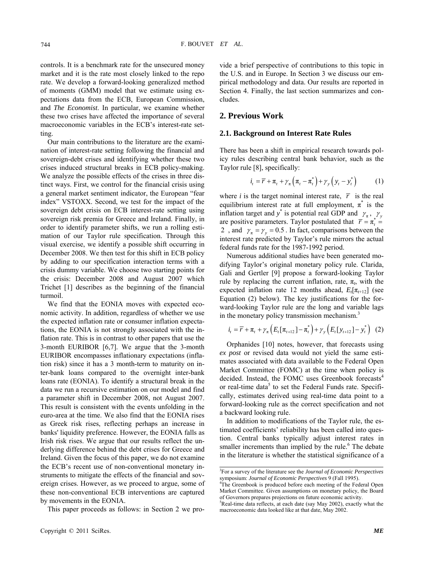controls. It is a benchmark rate for the unsecured money market and it is the rate most closely linked to the repo rate. We develop a forward-looking generalized method of moments (GMM) model that we estimate using expectations data from the ECB, European Commission, and *The Economist*. In particular, we examine whether these two crises have affected the importance of several macroeconomic variables in the ECB's interest-rate setting.

Our main contributions to the literature are the examination of interest-rate setting following the financial and sovereign-debt crises and identifying whether these two crises induced structural breaks in ECB policy-making. We analyze the possible effects of the crises in three distinct ways. First, we control for the financial crisis using a general market sentiment indicator, the European "fear index" VSTOXX. Second, we test for the impact of the sovereign debt crisis on ECB interest-rate setting using sovereign risk premia for Greece and Ireland. Finally, in order to identify parameter shifts, we run a rolling estimation of our Taylor rule specification. Through this visual exercise, we identify a possible shift occurring in December 2008. We then test for this shift in ECB policy by adding to our specification interaction terms with a crisis dummy variable. We choose two starting points for the crisis: December 2008 and August 2007 which Trichet [1] describes as the beginning of the financial turmoil.

We find that the EONIA moves with expected economic activity. In addition, regardless of whether we use the expected inflation rate or consumer inflation expectations, the EONIA is not strongly associated with the inflation rate. This is in contrast to other papers that use the 3-month EURIBOR [6,7]. We argue that the 3-month EURIBOR encompasses inflationary expectations (inflation risk) since it has a 3 month-term to maturity on inter-bank loans compared to the overnight inter-bank loans rate (EONIA). To identify a structural break in the data we run a recursive estimation on our model and find a parameter shift in December 2008, not August 2007. This result is consistent with the events unfolding in the euro-area at the time. We also find that the EONIA rises as Greek risk rises, reflecting perhaps an increase in banks' liquidity preference. However, the EONIA falls as Irish risk rises. We argue that our results reflect the underlying difference behind the debt crises for Greece and Ireland. Given the focus of this paper, we do not examine the ECB's recent use of non-conventional monetary instruments to mitigate the effects of the financial and sovereign crises. However, as we proceed to argue, some of these non-conventional ECB interventions are captured by movements in the EONIA.

This paper proceeds as follows: in Section 2 we pro-

vide a brief perspective of contributions to this topic in the U.S. and in Europe. In Section 3 we discuss our empirical methodology and data. Our results are reported in Section 4. Finally, the last section summarizes and concludes.

#### **2. Previous Work**

#### **2.1. Background on Interest Rate Rules**

There has been a shift in empirical research towards policy rules describing central bank behavior, such as the Taylor rule [8], specifically:

$$
i_t = \overline{r} + \pi_t + \gamma_\pi \left( \pi_t - \pi_t^* \right) + \gamma_y \left( y_t - y_t^* \right) \tag{1}
$$

where *i* is the target nominal interest rate,  $\overline{r}$  is the real equilibrium interest rate at full employment,  $\pi^*$  is the inflation target and  $y^*$  is potential real GDP and  $\gamma_{\pi}$ ,  $\gamma_{y}$ are positive parameters. Taylor postulated that  $\bar{r} = \pi_t^* =$ 2, and  $\gamma_{\pi} = \gamma_{v} = 0.5$ . In fact, comparisons between the interest rate predicted by Taylor's rule mirrors the actual federal funds rate for the 1987-1992 period.

Numerous additional studies have been generated modifying Taylor's original monetary policy rule. Clarida, Gali and Gertler [9] propose a forward-looking Taylor rule by replacing the current inflation, rate,  $\pi$ <sub>t</sub>, with the expected inflation rate 12 months ahead,  $E_t[\pi_{t+12}]$  (see Equation (2) below). The key justifications for the forward-looking Taylor rule are the long and variable lags in the monetary policy transmission mechanism.<sup>3</sup>

$$
i_{t} = \overline{r} + \pi_{t} + \gamma_{\pi} \left( E_{t}[\pi_{t+12}] - \pi_{t}^{*}\right) + \gamma_{y} \left( E_{t}[y_{t+12}] - y_{t}^{*}\right) (2)
$$

Orphanides [10] notes, however, that forecasts using *ex post* or revised data would not yield the same estimates associated with data available to the Federal Open Market Committee (FOMC) at the time when policy is decided. Instead, the FOMC uses Greenbook forecasts<sup>4</sup> or real-time data<sup>5</sup> to set the Federal Funds rate. Specifically, estimates derived using real-time data point to a forward-looking rule as the correct specification and not a backward looking rule.

In addition to modifications of the Taylor rule, the estimated coefficients' reliability has been called into question. Central banks typically adjust interest rates in smaller increments than implied by the rule.<sup>6</sup> The debate in the literature is whether the statistical significance of a

<sup>3</sup> For a survey of the literature see the *Journal of Economic Perspectives* symposium: *Journal of Economic Perspectives* 9 (Fall 1995). 4

<sup>&</sup>lt;sup>4</sup>The Greenbook is produced before each meeting of the Federal Open Market Committee. Given assumptions on monetary policy, the Board of Governors prepares projections on future economic activity.

<sup>5</sup> Real-time data reflects, at each date (say May 2002), exactly what the macroeconomic data looked like at that date, May 2002.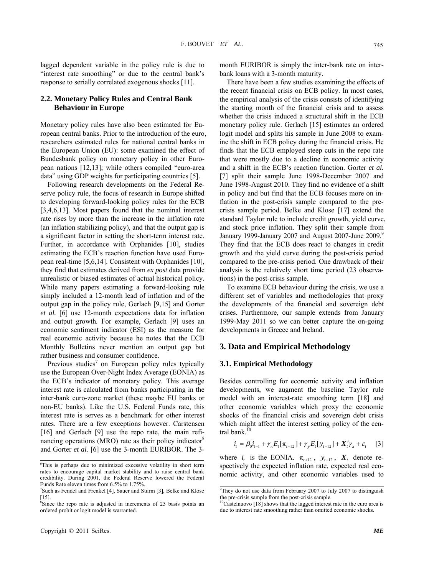lagged dependent variable in the policy rule is due to "interest rate smoothing" or due to the central bank's response to serially correlated exogenous shocks [11].

#### **2.2. Monetary Policy Rules and Central Bank Behaviour in Europe**

Monetary policy rules have also been estimated for European central banks. Prior to the introduction of the euro, researchers estimated rules for national central banks in the European Union (EU): some examined the effect of Bundesbank policy on monetary policy in other European nations [12,13]; while others compiled "euro-area data" using GDP weights for participating countries [5].

Following research developments on the Federal Reserve policy rule, the focus of research in Europe shifted to developing forward-looking policy rules for the ECB [3,4,6,13]. Most papers found that the nominal interest rate rises by more than the increase in the inflation rate (an inflation stabilizing policy), and that the output gap is a significant factor in setting the short-term interest rate. Further, in accordance with Orphanides [10], studies estimating the ECB's reaction function have used European real-time [5,6,14]. Consistent with Orphanides [10], they find that estimates derived from *ex post* data provide unrealistic or biased estimates of actual historical policy. While many papers estimating a forward-looking rule simply included a 12-month lead of inflation and of the output gap in the policy rule, Gerlach [9,15] and Gorter *et al.* [6] use 12-month expectations data for inflation and output growth*.* For example, Gerlach [9] uses an economic sentiment indicator (ESI) as the measure for real economic activity because he notes that the ECB Monthly Bulletins never mention an output gap but rather business and consumer confidence.

Previous studies<sup>7</sup> on European policy rules typically use the European Over-Night Index Average (EONIA) as the ECB's indicator of monetary policy. This average interest rate is calculated from banks participating in the inter-bank euro-zone market (these maybe EU banks or non-EU banks). Like the U.S. Federal Funds rate, this interest rate is serves as a benchmark for other interest rates. There are a few exceptions however. Carstensen [16] and Gerlach [9] use the repo rate, the main refinancing operations (MRO) rate as their policy indicator<sup>8</sup> and Gorter *et al.* [6] use the 3-month EURIBOR. The 3month EURIBOR is simply the inter-bank rate on interbank loans with a 3-month maturity.

There have been a few studies examining the effects of the recent financial crisis on ECB policy. In most cases, the empirical analysis of the crisis consists of identifying the starting month of the financial crisis and to assess whether the crisis induced a structural shift in the ECB monetary policy rule. Gerlach [15] estimates an ordered logit model and splits his sample in June 2008 to examine the shift in ECB policy during the financial crisis. He finds that the ECB employed steep cuts in the repo rate that were mostly due to a decline in economic activity and a shift in the ECB's reaction function. Gorter *et al.* [7] split their sample June 1998-December 2007 and June 1998-August 2010. They find no evidence of a shift in policy and but find that the ECB focuses more on inflation in the post-crisis sample compared to the precrisis sample period. Belke and Klose [17] extend the standard Taylor rule to include credit growth, yield curve, and stock price inflation. They split their sample from January 1999-January 2007 and August 2007-June 2009.<sup>9</sup> They find that the ECB does react to changes in credit growth and the yield curve during the post-crisis period compared to the pre-crisis period. One drawback of their analysis is the relatively short time period (23 observations) in the post-crisis sample.

To examine ECB behaviour during the crisis, we use a different set of variables and methodologies that proxy the developments of the financial and sovereign debt crises. Furthermore, our sample extends from January 1999-May 2011 so we can better capture the on-going developments in Greece and Ireland.

#### **3. Data and Empirical Methodology**

#### **3.1. Empirical Methodology**

Besides controlling for economic activity and inflation developments, we augment the baseline Taylor rule model with an interest-rate smoothing term [18] and other economic variables which proxy the economic shocks of the financial crisis and sovereign debt crisis which might affect the interest setting policy of the central bank.<sup>10</sup>

$$
i_{t} = \beta_{0}i_{t-1} + \gamma_{\pi}E_{t}[\pi_{t+12}] + \gamma_{y}E_{t}[y_{t+12}] + X_{t}'\gamma_{x} + \varepsilon_{t} \quad [3]
$$

where  $i_t$  is the EONIA.  $\pi_{t+12}$ ,  $y_{t+12}$ ,  $X_t$  denote respectively the expected inflation rate, expected real economic activity, and other economic variables used to

<sup>&</sup>lt;sup>6</sup>This is perhaps due to minimized excessive volatility in short term rates to encourage capital market stability and to raise central bank credibility. During 2001, the Federal Reserve lowered the Federal Funds Rate eleven times from 6.5% to 1.75%.

<sup>7</sup> Such as Fendel and Frenkel [4], Sauer and Sturm [3], Belke and Klose [15].

 $\delta$ Since the repo rate is adjusted in increments of 25 basis points an ordered probit or logit model is warranted.

<sup>&</sup>lt;sup>9</sup>They do not use data from February 2007 to July 2007 to distinguish the pre-crisis sample from the post-crisis sample.

 $10$ Castelnuovo [18] shows that the lagged interest rate in the euro area is due to interest rate smoothing rather than omitted economic shocks.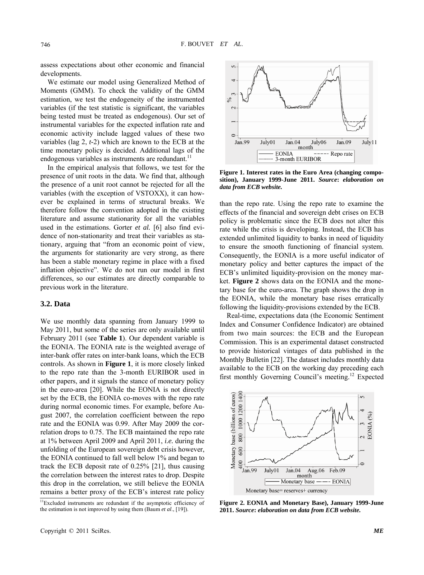assess expectations about other economic and financial developments.

We estimate our model using Generalized Method of Moments (GMM). To check the validity of the GMM estimation, we test the endogeneity of the instrumented variables (if the test statistic is significant, the variables being tested must be treated as endogenous). Our set of instrumental variables for the expected inflation rate and economic activity include lagged values of these two variables (lag 2, *t-*2) which are known to the ECB at the time monetary policy is decided. Additional lags of the endogenous variables as instruments are redundant. $^{11}$ 

In the empirical analysis that follows, we test for the presence of unit roots in the data. We find that, although the presence of a unit root cannot be rejected for all the variables (with the exception of VSTOXX), it can however be explained in terms of structural breaks. We therefore follow the convention adopted in the existing literature and assume stationarity for all the variables used in the estimations. Gorter *et al.* [6] also find evidence of non-stationarity and treat their variables as stationary, arguing that "from an economic point of view, the arguments for stationarity are very strong, as there has been a stable monetary regime in place with a fixed inflation objective". We do not run our model in first differences, so our estimates are directly comparable to previous work in the literature.

#### **3.2. Data**

We use monthly data spanning from January 1999 to May 2011, but some of the series are only available until February 2011 (see **Table 1**). Our dependent variable is the EONIA. The EONIA rate is the weighted average of inter-bank offer rates on inter-bank loans, which the ECB controls. As shown in **Figure 1**, it is more closely linked to the repo rate than the 3-month EURIBOR used in other papers, and it signals the stance of monetary policy in the euro-area [20]. While the EONIA is not directly set by the ECB, the EONIA co-moves with the repo rate during normal economic times. For example, before August 2007, the correlation coefficient between the repo rate and the EONIA was 0.99. After May 2009 the correlation drops to 0.75. The ECB maintained the repo rate at 1% between April 2009 and April 2011, *i.e.* during the unfolding of the European sovereign debt crisis however, the EONIA continued to fall well below 1% and began to track the ECB deposit rate of 0.25% [21], thus causing the correlation between the interest rates to drop. Despite this drop in the correlation, we still believe the EONIA remains a better proxy of the ECB's interest rate policy



**Figure 1. Interest rates in the Euro Area (changing composition), January 1999-June 2011.** *Source***:** *elaboration on data from ECB website.* 

than the repo rate. Using the repo rate to examine the effects of the financial and sovereign debt crises on ECB policy is problematic since the ECB does not alter this rate while the crisis is developing. Instead, the ECB has extended unlimited liquidity to banks in need of liquidity to ensure the smooth functioning of financial system. Consequently, the EONIA is a more useful indicator of monetary policy and better captures the impact of the ECB's unlimited liquidity-provision on the money market. **Figure 2** shows data on the EONIA and the monetary base for the euro-area. The graph shows the drop in the EONIA, while the monetary base rises erratically following the liquidity-provisions extended by the ECB.

Real-time, expectations data (the Economic Sentiment Index and Consumer Confidence Indicator) are obtained from two main sources: the ECB and the European Commission. This is an experimental dataset constructed to provide historical vintages of data published in the Monthly Bulletin [22]. The dataset includes monthly data available to the ECB on the working day preceding each first monthly Governing Council's meeting.12 Expected



**Figure 2. EONIA and Monetary Base), January 1999-June 2011.** *Source***:** *elaboration on data from ECB website.* 

<sup>&</sup>lt;sup>11</sup>Excluded instruments are redundant if the asymptotic efficiency of the estimation is not improved by using them (Baum *et al*., [19]).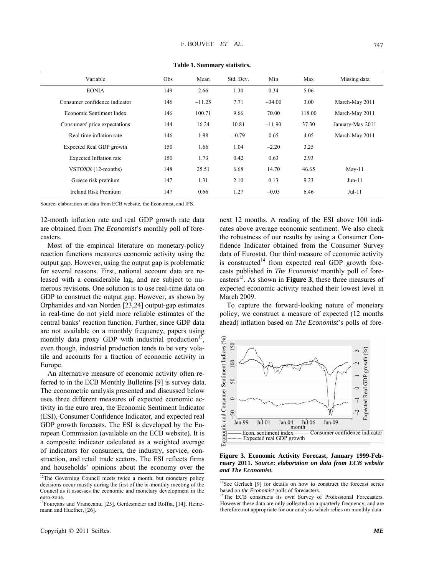747

| Variable                      | Obs | Mean     | Std. Dev. | Min      | Max    | Missing data     |
|-------------------------------|-----|----------|-----------|----------|--------|------------------|
| <b>EONIA</b>                  | 149 | 2.66     | 1.30      | 0.34     | 5.06   |                  |
| Consumer confidence indicator | 146 | $-11.25$ | 7.71      | $-34.00$ | 3.00   | March-May 2011   |
| Economic Sentiment Index      | 146 | 100.71   | 9.66      | 70.00    | 118.00 | March-May 2011   |
| Consumers' price expectations | 144 | 16.24    | 10.81     | $-11.90$ | 37.30  | January-May 2011 |
| Real time inflation rate      | 146 | 1.98     | $-0.79$   | 0.65     | 4.05   | March-May 2011   |
| Expected Real GDP growth      | 150 | 1.66     | 1.04      | $-2.20$  | 3.25   |                  |
| Expected Inflation rate       | 150 | 1.73     | 0.42      | 0.63     | 2.93   |                  |
| VSTOXX (12-months)            | 148 | 25.51    | 6.68      | 14.70    | 46.65  | $May-11$         |
| Greece risk premium           | 147 | 1.31     | 2.10      | 0.13     | 9.23   | $Jun-11$         |
| Ireland Risk Premium          | 147 | 0.66     | 1.27      | $-0.05$  | 6.46   | $Jul-11$         |

**Table 1. Summary statistics.** 

Source: elaboration on data from ECB website, the Economist, and IFS.

12-month inflation rate and real GDP growth rate data are obtained from *The Economist*'s monthly poll of forecasters.

Most of the empirical literature on monetary-policy reaction functions measures economic activity using the output gap. However, using the output gap is problematic for several reasons. First, national account data are released with a considerable lag, and are subject to numerous revisions. One solution is to use real-time data on GDP to construct the output gap. However, as shown by Orphanides and van Norden [23,24] output-gap estimates in real-time do not yield more reliable estimates of the central banks' reaction function. Further, since GDP data are not available on a monthly frequency, papers using monthly data proxy GDP with industrial production $13$ , even though, industrial production tends to be very volatile and accounts for a fraction of economic activity in Europe.

An alternative measure of economic activity often referred to in the ECB Monthly Bulletins [9] is survey data. The econometric analysis presented and discussed below uses three different measures of expected economic activity in the euro area, the Economic Sentiment Indicator (ESI), Consumer Confidence Indicator, and expected real GDP growth forecasts. The ESI is developed by the European Commission (available on the ECB website). It is a composite indicator calculated as a weighted average of indicators for consumers, the industry, service, construction, and retail trade sectors. The ESI reflects firms and households' opinions about the economy over the

next 12 months. A reading of the ESI above 100 indicates above average economic sentiment. We also check the robustness of our results by using a Consumer Confidence Indicator obtained from the Consumer Survey data of Eurostat. Our third measure of economic activity is constructed<sup>14</sup> from expected real GDP growth forecasts published in *The Economist* monthly poll of forecasters<sup>15</sup>. As shown in **Figure 3**, these three measures of expected economic activity reached their lowest level in March 2009.

To capture the forward-looking nature of monetary policy, we construct a measure of expected (12 months ahead) inflation based on *The Economist*'s polls of fore-



**Figure 3. Economic Activity Forecast, January 1999-February 2011.** *Source***:** *elaboration on data from ECB website and The Economist.* 

<sup>&</sup>lt;sup>12</sup>The Governing Council meets twice a month, but monetary policy decisions occur mostly during the first of the bi-monthly meeting of the Council as it assesses the economic and monetary development in the euro-zone.

<sup>&</sup>lt;sup>13</sup>Fourçans and Vranceanu, [25], Gerdesmeier and Roffia, [14], Heinemann and Huefner, [26].

<sup>&</sup>lt;sup>14</sup>See Gerlach [9] for details on how to construct the forecast series based on *the Economist* polls of forecasters.<br><sup>15</sup>The ECB constructs its own Survey of Professional Forecasters.

However these data are only collected on a quarterly frequency, and are therefore not appropriate for our analysis which relies on monthly data.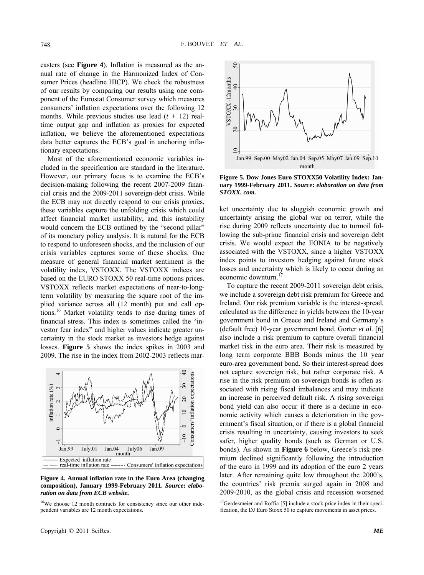casters (see **Figure 4**). Inflation is measured as the annual rate of change in the Harmonized Index of Consumer Prices (headline HICP). We check the robustness of our results by comparing our results using one component of the Eurostat Consumer survey which measures consumers' inflation expectations over the following 12 months. While previous studies use lead (*t +* 12) realtime output gap and inflation as proxies for expected inflation, we believe the aforementioned expectations data better captures the ECB's goal in anchoring inflationary expectations.

Most of the aforementioned economic variables included in the specification are standard in the literature. VSTOXX reflects market expectations of near-to-longte rm volatility by measuring the square root of the im-However, our primary focus is to examine the ECB's decision-making following the recent 2007-2009 financial crisis and the 2009-2011 sovereign-debt crisis. While the ECB may not directly respond to our crisis proxies, these variables capture the unfolding crisis which could affect financial market instability, and this instability would concern the ECB outlined by the "second pillar" of its monetary policy analysis. It is natural for the ECB to respond to unforeseen shocks, and the inclusion of our crisis variables captures some of these shocks. One measure of general financial market sentiment is the volatility index, VSTOXX. The VSTOXX indices are based on the EURO STOXX 50 real-time options prices. plied variance across all (12 month) put and call options.16 Market volatility tends to rise during times of financial stress. This index is sometimes called the "investor fear index" and higher values indicate greater uncertainty in the stock market as investors hedge against losses. **Figure 5** shows the index spikes in 2003 and 2009. The rise in the index from 2002-2003 reflects mar-



**Figure 4. Annual inflation rate in the Euro Area (changing composition), January 1999-February 2011.** *Source***:** *elaboration on data from ECB website.* 





**Figure 5. Dow Jones Euro STOXX50 Volatility Index: January 1999-February 2011.** *Source***:** *elaboration on data from STOXX. com.*

ket uncertainty due to sluggish economic growth and uncertainty arising the global war on terror, while the rise during 2009 reflects uncertainty due to turmoil following the sub-prime financial crisis and sovereign debt crisis. We would expect the EONIA to be negatively associated with the VSTOXX, since a higher VSTOXX index points to investors hedging against future stock losses and uncertainty which is likely to occur during an economic downturn.<sup>17</sup>

To capture the recent 2009-2011 sovereign debt crisis, we include a sovereign debt risk premium for Greece and government bond in Greece and Ireland and Germany's (default free) 10-year government bond. Gorter *et al.* [6] bond yield can also occur if there is a decline in econo mic activity which causes a deterioration in the gov-Ireland. Our risk premium variable is the interest-spread, calculated as the difference in yields between the 10-year also include a risk premium to capture overall financial market risk in the euro area. Their risk is measured by long term corporate BBB Bonds minus the 10 year euro-area government bond. So their interest-spread does not capture sovereign risk, but rather corporate risk. A rise in the risk premium on sovereign bonds is often associated with rising fiscal imbalances and may indicate an increase in perceived default risk. A rising sovereign ernment's fiscal situation, or if there is a global financial crisis resulting in uncertainty, causing investors to seek safer, higher quality bonds (such as German or U.S. bonds). As shown in **Figure 6** below, Greece's risk premium declined significantly following the introduction of the euro in 1999 and its adoption of the euro 2 years later. After remaining quite low throughout the 2000's, the countries' risk premia surged again in 2008 and 2009-2010, as the global crisis and recession worsened

<sup>&</sup>lt;sup>17</sup>Gerdesmeier and Roffia [5] include a stock price index in their specification, the DJ Euro Stoxx 50 to capture movements in asset prices.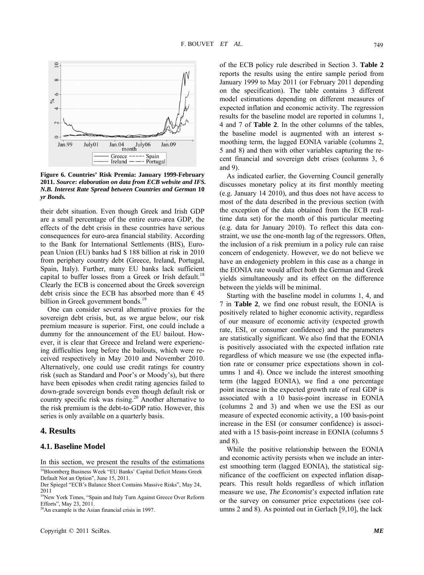

**Figure 6. Countries' Risk Premia: January 1999-February 2011.** *Source***:** *elaboration on data from ECB website and IFS. N.B. Interest Rate Spread between Countries and German* **10** *yr Bonds.*

their debt situation. Even though Greek and Irish GDP are a small percentage of the entire euro-area GDP, the effects of the debt crisis in these countries have serious consequences for euro-area financial stability. According to the Bank for International Settlements (BIS), European Union (EU) banks had \$ 188 billion at risk in 2010 from periphery country debt (Greece, Ireland, Portugal, Spain, Italy). Further, many EU banks lack sufficient capital to buffer losses from a Greek or Irish default.<sup>18</sup> Clearly the ECB is concerned about the Greek sovereign debt crisis since the ECB has absorbed more than  $\epsilon$  45 billion in Greek government bonds.<sup>19</sup>

premium measure is superior. First, one could include a One can consider several alternative proxies for the sovereign debt crisis, but, as we argue below, our risk dummy for the announcement of the EU bailout. However, it is clear that Greece and Ireland were experiencing difficulties long before the bailouts, which were received respectively in May 2010 and November 2010. Alternatively, one could use credit ratings for country risk (such as Standard and Poor's or Moody's), but there have been episodes when credit rating agencies failed to down-grade sovereign bonds even though default risk or country specific risk was rising.<sup>20</sup> Another alternative to the risk premium is the debt-to-GDP ratio. However, this series is only available on a quarterly basis.

#### **4. Results**

#### **4.1. Baseline Model**

In this section, we present the results of the estimations

18Bloomberg Business Week "EU Banks' Capital Deficit Means Greek Default Not an Option", June 15, 2011.

 $2<sup>0</sup>$ An example is the Asian financial crisis in 1997.

5 and 8) and then with other variables capturing the recent financial and sovereign debt crises (columns 3, 6 of the ECB policy rule described in Section 3. **Table 2** reports the results using the entire sample period from January 1999 to May 2011 (or February 2011 depending on the specification). The table contains 3 different model estimations depending on different measures of expected inflation and economic activity. The regression results for the baseline model are reported in columns 1, 4 and 7 of **Table 2**. In the other columns of the tables, the baseline model is augmented with an interest smoothing term, the lagged EONIA variable (columns 2, and 9).

As indicated earlier, the Governing Council generally discusses monetary policy at its first monthly meeting (e.g. January 14 2010), and thus does not have access to most of the data described in the previous section (with the exception of the data obtained from the ECB realtime data set) for the month of this particular meeting (e.g. data for January 2010). To reflect this data constraint, we use the one-month lag of the regressors. Often, the inclusion of a risk premium in a policy rule can raise concern of endogeniety. However, we do not believe we have an endogeniety problem in this case as a change in the EONIA rate would affect *both* the German and Greek yields simultaneously and its effect on the difference between the yields will be minimal.

**le 2**, we find one robust result, the EONIA is 7 in **Tab** po sitively related to higher economic activity, regardless increase in the ESI (or consumer confidence) is associat ed with a 15 basis-point increase in EONIA (columns 5 Starting with the baseline model in columns 1, 4, and of our measure of economic activity (expected growth rate, ESI, or consumer confidence) and the parameters are statistically significant. We also find that the EONIA is positively associated with the expected inflation rate regardless of which measure we use (the expected inflation rate or consumer price expectations shown in columns 1 and 4). Once we include the interest smoothing term (the lagged EONIA), we find a one percentage point increase in the expected growth rate of real GDP is associated with a 10 basis-point increase in EONIA (columns 2 and 3) and when we use the ESI as our measure of expected economic activity, a 100 basis-point and 8).

While the positive relationship between the EONIA and economic activity persists when we include an interest smoothing term (lagged EONIA), the statistical significance of the coefficient on expected inflation disappears. This result holds regardless of which inflation measure we use, *The Economist*'*s* expected inflation rate or the survey on consumer price expectations (see columns 2 and 8). As pointed out in Gerlach [9,10], the lack

Der Spiegel "ECB's Balance Sheet Contains Massive Risks", May 24, 2011

<sup>&</sup>lt;sup>19</sup>New York Times, "Spain and Italy Turn Against Greece Over Reform Efforts", May 23, 2011.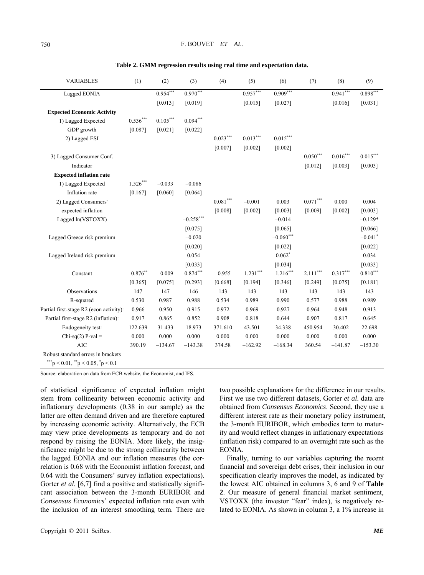| <b>VARIABLES</b>                                             | (1)        | (2)        | (3)         | (4)                    | (5)         | (6)          | (7)           | (8)             | (9)                   |
|--------------------------------------------------------------|------------|------------|-------------|------------------------|-------------|--------------|---------------|-----------------|-----------------------|
| Lagged EONIA                                                 |            | $0.954***$ | $0.970***$  |                        | $0.957***$  | $0.909***$   |               | $0.941***$      | $0.898***$            |
|                                                              |            | [0.013]    | [0.019]     |                        | [0.015]     | [0.027]      |               | [0.016]         | [0.031]               |
| <b>Expected Economic Activity</b>                            |            |            |             |                        |             |              |               |                 |                       |
| 1) Lagged Expected                                           | $0.536***$ | $0.105***$ | $0.094***$  |                        |             |              |               |                 |                       |
| GDP growth                                                   | [0.087]    | [0.021]    | [0.022]     |                        |             |              |               |                 |                       |
| 2) Lagged ESI                                                |            |            |             | $0.023***$             | $0.013***$  | $0.015***$   |               |                 |                       |
|                                                              |            |            |             | [0.007]                | [0.002]     | [0.002]      |               |                 |                       |
| 3) Lagged Consumer Conf.                                     |            |            |             |                        |             |              | $0.050^{***}$ | $0.016^{***}\,$ | $0.015***$            |
| Indicator                                                    |            |            |             |                        |             |              | [0.012]       | [0.003]         | [0.003]               |
| <b>Expected inflation rate</b>                               |            |            |             |                        |             |              |               |                 |                       |
| 1) Lagged Expected                                           | $1.526***$ | $-0.033$   | $-0.086$    |                        |             |              |               |                 |                       |
| Inflation rate                                               | [0.167]    | [0.060]    | [0.064]     |                        |             |              |               |                 |                       |
| 2) Lagged Consumers'                                         |            |            |             | $0.081^{\ast\ast\ast}$ | $-0.001$    | 0.003        | $0.071***$    | 0.000           | 0.004                 |
| expected inflation                                           |            |            |             | [0.008]                | [0.002]     | [0.003]      | [0.009]       | [0.002]         | [0.003]               |
| Lagged ln(VSTOXX)                                            |            |            | $-0.258***$ |                        |             | $-0.014$     |               |                 | $-0.129*$             |
|                                                              |            |            | [0.075]     |                        |             | [0.065]      |               |                 | [0.066]               |
| Lagged Greece risk premium                                   |            |            | $-0.020$    |                        |             | $-0.060$ *** |               |                 | $-0.041$ <sup>*</sup> |
|                                                              |            |            | $[0.020]$   |                        |             | [0.022]      |               |                 | $[0.022]$             |
| Lagged Ireland risk premium                                  |            |            | 0.054       |                        |             | $0.062*$     |               |                 | 0.034                 |
|                                                              |            |            | [0.033]     |                        |             | [0.034]      |               |                 | [0.033]               |
| Constant                                                     | $-0.876**$ | $-0.009$   | $0.874***$  | $-0.955$               | $-1.231***$ | $-1.216***$  | $2.111***$    | $0.317***$      | $0.810***$            |
|                                                              | [0.365]    | [0.075]    | [0.293]     | [0.668]                | [0.194]     | [0.346]      | [0.249]       | [0.075]         | $[0.181]$             |
| Observations                                                 | 147        | 147        | 146         | 143                    | 143         | 143          | 143           | 143             | 143                   |
| R-squared                                                    | 0.530      | 0.987      | 0.988       | 0.534                  | 0.989       | 0.990        | 0.577         | 0.988           | 0.989                 |
| Partial first-stage R2 (econ activity):                      | 0.966      | 0.950      | 0.915       | 0.972                  | 0.969       | 0.927        | 0.964         | 0.948           | 0.913                 |
| Partial first-stage R2 (inflation):                          | 0.917      | 0.865      | 0.852       | 0.908                  | 0.818       | 0.644        | 0.907         | 0.817           | 0.645                 |
| Endogeneity test:                                            | 122.639    | 31.433     | 18.973      | 371.610                | 43.501      | 34.338       | 450.954       | 30.402          | 22.698                |
| Chi-sq(2) $P$ -val =                                         | 0.000      | 0.000      | 0.000       | 0.000                  | 0.000       | 0.000        | 0.000         | 0.000           | 0.000                 |
| <b>AIC</b>                                                   | 390.19     | $-134.67$  | $-143.38$   | 374.58                 | $-162.92$   | $-168.34$    | 360.54        | $-141.87$       | $-153.30$             |
| Robust standard errors in brackets                           |            |            |             |                        |             |              |               |                 |                       |
| $_{p}^{*}$ p < 0.01, $_{p}^{*}$ p < 0.05, $_{p}^{*}$ p < 0.1 |            |            |             |                        |             |              |               |                 |                       |

Table 2. GMM regression results using real time and expectation data.

Source: elaboration on data from ECB website, the Economist, and IFS.

of statistical significance of expected inflation might stem from collinearity between economic activity and inflationary developments  $(0.38)$  in our sample) as the latter are often demand driven and are therefore captured by increasing economic activity. Alternatively, the ECB may view price developments as temporary and do not respond by raising the EONIA. More likely, the insignificance might be due to the strong collinearity between the lagged EONIA and our inflation measures (the correlation is 0.68 with the Economist inflation forecast, and 0.64 with the Consumers' survey inflation expectations). Gorter *et al.* [6,7] find a positive and statistically significant association between the 3-month EURIBOR and *Consensus Economics*' expected inflation rate even with the inclusion of an interest smoothing term. There are

two possible explanations for the difference in our results. First we use two different datasets, Gorter et al. data are obtained from *Consensus Economics*. Second, they use a different interest rate as their monetary policy instrument, the 3-month EURIBOR, which embodies term to maturity and would reflect changes in inflationary expectations (inflation risk) compared to an overnight rate such as the EONIA.

Finally, turning to our variables capturing the recent financial and sovereign debt crises, their inclusion in our specification clearly improves the model, as indicated by the lowest AIC obtained in columns 3, 6 and 9 of **Table 2**. Our measure of general financial market sentiment, VSTOXX (the investor "fear" index), is negatively related to EONIA. As shown in column 3, a 1% increase in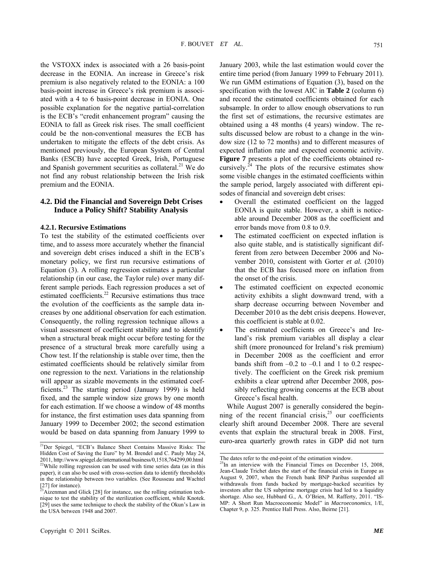mentioned previously, the European System of Central B anks (ESCB) have accepted Greek, Irish, Portuguese the VSTOXX index is associated with a 26 basis-point decrease in the EONIA. An increase in Greece's risk premium is also negatively related to the EONIA: a 100 basis-point increase in Greece's risk premium is associated with a 4 to 6 basis-point decrease in EONIA. One possible explanation for the negative partial-correlation is the ECB's "credit enhancement program" causing the EONIA to fall as Greek risk rises. The small coefficient could be the non-conventional measures the ECB has undertaken to mitigate the effects of the debt crisis. As and Spanish government securities as collateral. $^{21}$  We do not find any robust relationship between the Irish risk premium and the EONIA.

#### **4.2. Did the Financial and Sovereign Debt Crises Induce a Policy Shift? Stability Analysis**

#### **4.2.1. Recursive Estimations**

when a structural break might occur before testing for the presence of a structural break more carefully using a estimated coefficients should be relatively similar from one regression to the next. Variations in the relationship will appear as sizable movements in the estimated coef-To test the stability of the estimated coefficients over time, and to assess more accurately whether the financial and sovereign debt crises induced a shift in the ECB's monetary policy, we first run recursive estimations of Equation (3). A rolling regression estimates a particular relationship (in our case, the Taylor rule) over many different sample periods. Each regression produces a set of estimated coefficients. $^{22}$  Recursive estimations thus trace the evolution of the coefficients as the sample data increases by one additional observation for each estimation. Consequently, the rolling regression technique allows a visual assessment of coefficient stability and to identify Chow test. If the relationship is stable over time, then the ficients.<sup>23</sup> The starting period (January 1999) is held fixed, and the sample window size grows by one month for each estimation. If we choose a window of 48 months for instance, the first estimation uses data spanning from January 1999 to December 2002; the second estimation would be based on data spanning from January 1999 to

January 2003, while the last estimation would cover the entire time period (from January 1999 to February 2011). We run GMM estimations of Equation (3), based on the specification with the lowest AIC in **Table 2** (column 6) and record the estimated coefficients obtained for each subsample. In order to allow enough observations to run the first set of estimations, the recursive estimates are obtained using a 48 months (4 years) window. The results discussed below are robust to a change in the window size (12 to 72 months) and to different measures of expected inflation rate and expected economic activity. **Figure 7** presents a plot of the coefficients obtained recursively.<sup>24</sup> The plots of the recursive estimates show some visible changes in the estimated coefficients within the sample period, largely associated with different episodes of financial and sovereign debt crises:

- Overall the estimated coefficient on the lagged EONIA is quite stable. However, a shift is noticeable around December 2008 as the coefficient and error bands move from 0.8 to 0.9.
- The estimated coefficient on expected inflation is also quite stable, and is statistically significant different from zero between December 2006 and November 2010, consistent with Gorter *et al.* (2010) that the ECB has focused more on inflation from the onset of the crisis.
- The estimated coefficient on expected economic activity exhibits a slight downward trend, with a sharp decrease occurring between November and December 2010 as the debt crisis deepens. However, this coefficient is stable at 0.02.
- shift (more pronounced for Ireland's risk premium) exhibits a clear uptrend after December 2008, posi n December 2008 as the coefficient and error The estimated coefficients on Greece's and Ireland's risk premium variables all display a clear bands shift from  $-0.2$  to  $-0.1$  and 1 to 0.2 respectively. The coefficient on the Greek risk premium sibly reflecting growing concerns at the ECB about Greece's fiscal health.

events that explain the structural break in 2008. First, While August 2007 is generally considered the beginning of the recent financial crisis, $25$  our coefficients clearly shift around December 2008. There are several <sup>21</sup>Der Spiegel, "ECB's Balance Sheet Contains Massive Risks: The euro-area quarterly growth rates in GDP did not turn

Hidden Cost of Saving the Euro" by M. Brendel and C. Pauly May 24, 2011, http://www.spiegel.de/international/business/0,1518,764299,00.html 22While rolling regression can be used with time series data (as in this paper), it can also be used with cross-section data to identify threshold(s in the relationship between two variables. (See Rousseau and Wachtel

<sup>[27]</sup> for instance).<br><sup>23</sup>Aizenman and Glick [28] for instance, use the rolling estimation technique to test the stability of the sterilization coefficient, while Knotek. [29] uses the same technique to check the stability of the Okun's Law in the USA between 1948 and 2007.

The dates refer to the end-point of the estimation window.

<sup>&</sup>lt;sup>25</sup>In an interview with the Financial Times on December 15, 2008, Jean-Claude Trichet dates the start of the financial crisis in Europe as August 9, 2007, when the French bank BNP Paribas suspended all withdrawals from funds backed by mortgage-backed securities by investors after the US subprime mortgage crisis had led to a liquidity shortage. Also see, Hubbard G., A. O'Brien, M. Rafferty, 2011. "IS-MP: A Short Run Macroeconomic Model" in *Macroeconomics*, 1/E, Chapter 9, p. 325. Prentice Hall Press. Also, Beirne [21].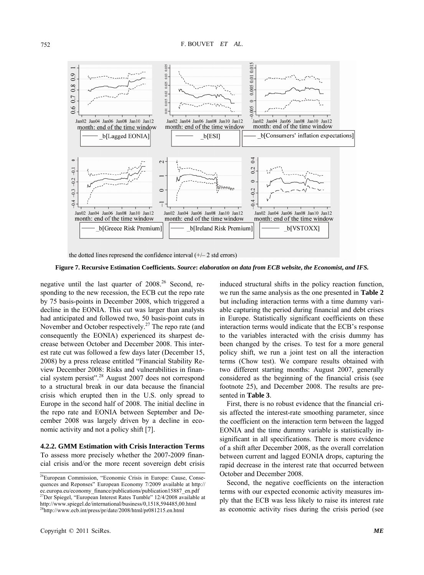

the dotted lines represend the confidence interval  $(+/- 2$  std errors)

**Figure 7. Recursive Estimation Coefficients.** *Source***:** *elaboration on data from ECB website***,** *the Economist***,** *and IFS.* 

negative until the last quarter of  $2008<sup>26</sup>$  Second, responding to the new recession, the ECB cut the repo rate by 75 basis-points in December 2008, which triggered a decline in the EONIA. This cut was larger than analysts had anticipated and followed two, 50 basis-point cuts in November and October respectively.<sup>27</sup> The repo rate (and consequently the EONIA) experienced its sharpest decrease between October and December 2008. This interest rate cut was followed a few days later (December 15, 2008) by a press release entitled "Financial Stability Review December 2008: Risks and vulnerabilities in financial system persist".28 August 2007 does not correspond to a structural break in our data because the financial crisis which erupted then in the U.S. only spread to Europe in the second half of 2008. The initial decline in the repo rate and EONIA between September and December 2008 was largely driven by a decline in economic activity and not a policy shift [7].

**4.2.2. GMM Estimation with Crisis Interaction Terms**  To assess more precisely whether the 2007-2009 financial crisis and/or the more recent sovereign debt crisis

28http://www.ecb.int/press/pr/date/2008/html/pr081215.en.html

induced structural shifts in the policy reaction function, we run the same analysis as the one presented in **Table 2** but including interaction terms with a time dummy variable capturing the period during financial and debt crises in Europe. Statistically significant coefficients on these interaction terms would indicate that the ECB's response to the variables interacted with the crisis dummy has been changed by the crises. To test for a more general ate cut was followed a few days later (December 15, policy shift, we run a joint test on all the interaction terms (Chow test). We compare results obtained with two different starting months: August 2007, generally considered as the beginning of the financial crisis (see footnote 25), and December 2008. The results are presented in **Table 3**.

> sis affected the interest-rate smoothing parameter, since the coefficient on the interaction term between the lagged First, there is no robust evidence that the financial cri-EONIA and the time dummy variable is statistically insignificant in all specifications. There is more evidence of a shift after December 2008, as the overall correlation between current and lagged EONIA drops, capturing the rapid decrease in the interest rate that occurred between October and December 2008.

> Second, the negative coefficients on the interaction terms with our expected economic activity measures imply that the ECB was less likely to raise its interest rate as economic activity rises during the crisis period (see

<sup>26</sup>European Commission, "Economic Crisis in Europe: Cause, Consequences and Reponses" European Economy 7/2009 available at http:// ec.europa.eu/economy\_finance/publications/publication15887\_en.pdf <sup>27</sup>Der Spiegel, "European Interest Rates Tumble" 12/4/2008 available at http://www.spiegel.de/international/business/0,1518,594485,00.html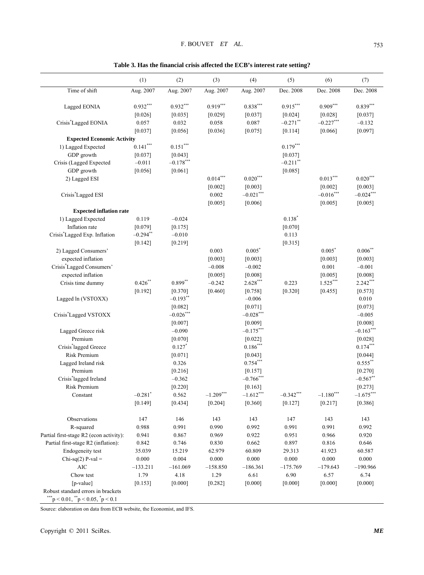| Table 3. Has the financial crisis affected the ECB's interest rate setting? |
|-----------------------------------------------------------------------------|
|-----------------------------------------------------------------------------|

|                                                          | (1)                    | (2)                 | (3)        | (4)                   | (5)         | (6)          | (7)                   |
|----------------------------------------------------------|------------------------|---------------------|------------|-----------------------|-------------|--------------|-----------------------|
| Time of shift                                            | Aug. 2007              | Aug. 2007           | Aug. 2007  | Aug. 2007             | Dec. 2008   | Dec. 2008    | Dec. 2008             |
| Lagged EONIA                                             | $0.932***$             | $0.932***$          | $0.919***$ | $0.838***$            | $0.915***$  | $0.909***$   | $0.839***$            |
|                                                          | [0.026]                | [0.035]             | [0.029]    | [0.037]               | [0.024]     | [0.028]      | [0.037]               |
| Crisis*Lagged EONIA                                      | 0.057                  | 0.032               | 0.058      | 0.087                 | $-0.271$ ** | $-0.227***$  | $-0.132$              |
|                                                          | [0.037]                | [0.056]             | [0.036]    | [0.075]               | [0.114]     | [0.066]      | [0.097]               |
| <b>Expected Economic Activity</b>                        |                        |                     |            |                       |             |              |                       |
| 1) Lagged Expected                                       | $0.141^{\ast\ast\ast}$ | $0.151^{***}$       |            |                       | $0.179***$  |              |                       |
| GDP growth                                               | [0.037]                | [0.043]             |            |                       | [0.037]     |              |                       |
| Crisis (Lagged Expected                                  | $-0.011$               | $-0.178$ ***        |            |                       | $-0.211$ ** |              |                       |
| GDP growth                                               | [0.056]                | [0.061]             |            |                       | [0.085]     |              |                       |
| 2) Lagged ESI                                            |                        |                     | $0.014***$ | $0.020***$            |             | $0.013***$   | $0.020***$            |
|                                                          |                        |                     | [0.002]    | [0.003]               |             | [0.002]      | [0.003]               |
| Crisis <sup>*</sup> Lagged ESI                           |                        |                     | 0.002      | $-0.021$ ***          |             | $-0.016$ *** | $-0.024***$           |
|                                                          |                        |                     | [0.005]    | [0.006]               |             | [0.005]      | [0.005]               |
| <b>Expected inflation rate</b>                           |                        |                     |            |                       |             |              |                       |
| 1) Lagged Expected                                       | 0.119                  | $-0.024$            |            |                       | $0.138*$    |              |                       |
| Inflation rate                                           | [0.079]                | [0.175]             |            |                       | [0.070]     |              |                       |
| Crisis*Lagged Exp. Inflation                             | $-0.294$ **            | $-0.010$            |            |                       | 0.113       |              |                       |
|                                                          | [0.142]                | [0.219]             |            |                       | [0.315]     |              |                       |
| 2) Lagged Consumers'                                     |                        |                     | 0.003      | $0.005*$              |             | $0.005^*$    | $0.006$ **            |
| expected inflation                                       |                        |                     | [0.003]    | [0.003]               |             | [0.003]      | [0.003]               |
| Crisis <sup>*</sup> Lagged Consumers'                    |                        |                     | $-0.008$   | $-0.002$              |             | 0.001        | $-0.001$              |
| expected inflation                                       |                        |                     | [0.005]    | [0.008]               |             | [0.005]      | [0.008]               |
| Crisis time dummy                                        | $0.426**$              | $0.899***$          | $-0.242$   | $2.628***$            | 0.223       | $1.525***$   | $2.242***$            |
|                                                          | [0.192]                | [0.370]             | [0.460]    | [0.758]               | [0.320]     | [0.455]      | [0.573]               |
| Lagged ln (VSTOXX)                                       |                        | $-0.193$ **         |            | $-0.006$              |             |              | 0.010                 |
|                                                          |                        | [0.082]             |            | [0.071]               |             |              | [0.073]               |
| Crisis <sup>*</sup> Lagged VSTOXX                        |                        | $-0.026$ ***        |            | $-0.028***$           |             |              | $-0.005$              |
|                                                          |                        | [0.007]             |            | [0.009]               |             |              | [0.008]               |
| Lagged Greece risk                                       |                        | $-0.090$            |            | $-0.175***$           |             |              | $-0.163***$           |
| Premium                                                  |                        | [0.070]             |            | [0.022]<br>$0.186***$ |             |              | [0.028]<br>$0.174***$ |
| Crisis <sup>*</sup> lagged Greece<br><b>Risk Premium</b> |                        | $0.127*$            |            |                       |             |              |                       |
|                                                          |                        | $[0.071]$           |            | [0.043]<br>$0.754***$ |             |              | [0.044]<br>$0.555***$ |
| Lagged Ireland risk<br>Premium                           |                        | 0.326               |            | [0.157]               |             |              | [0.270]               |
| Crisis <sup>*</sup> lagged Ireland                       |                        | [0.216]<br>$-0.362$ |            | $-0.766$ ***          |             |              | $-0.567$ **           |
| <b>Risk Premium</b>                                      |                        | $[0.220]$           |            | [0.163]               |             |              | [0.273]               |
| Constant                                                 | $-0.281$               | 0.562               | $-1.209$   | $-1.612$              | $-0.342$    | $-1.180$     | $-1.675$              |
|                                                          | [0.149]                | [0.434]             | [0.204]    | [0.360]               | [0.127]     | [0.217]      | [0.386]               |
|                                                          |                        |                     |            |                       |             |              |                       |
| Observations                                             | 147                    | 146                 | 143        | 143                   | 147         | 143          | 143                   |
| R-squared                                                | 0.988                  | 0.991               | 0.990      | 0.992                 | 0.991       | 0.991        | 0.992                 |
| Partial first-stage R2 (econ activity):                  | 0.941                  | 0.867               | 0.969      | 0.922                 | 0.951       | 0.966        | 0.920                 |
| Partial first-stage R2 (inflation):                      | 0.842                  | 0.746               | 0.830      | 0.662                 | 0.897       | 0.816        | 0.646                 |
| Endogeneity test                                         | 35.039                 | 15.219              | 62.979     | 60.809                | 29.313      | 41.923       | 60.587                |
| Chi-sq(2) $P$ -val =                                     | 0.000                  | 0.004               | 0.000      | 0.000                 | 0.000       | 0.000        | 0.000                 |
| $\rm AIC$                                                | $-133.211$             | $-161.069$          | $-158.850$ | $-186.361$            | $-175.769$  | $-179.643$   | $-190.966$            |
| Chow test                                                | 1.79                   | 4.18                | 1.29       | 6.61                  | 6.90        | 6.57         | 6.74                  |
| [p-value]                                                | [0.153]                | [0.000]             | [0.282]    | [0.000]               | [0.000]     | [0.000]      | [0.000]               |
| Robust standard errors in brackets                       |                        |                     |            |                       |             |              |                       |
| ***p < 0.01, **p < 0.05, *p < 0.1                        |                        |                     |            |                       |             |              |                       |

Source: elaboration on data from ECB website, the Economist, and IFS.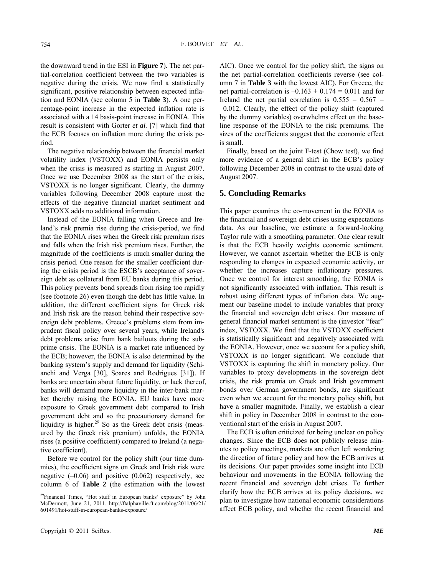the downward trend in the ESI in **Figure 7**). The net partial-correlation coefficient between the two variables is negative during the crisis. We now find a statistically significant, positive relationship between expected inflation and EONIA (see column 5 in **Table 3**). A one percentage-point increase in the expected inflation rate is  $-0$ . associated with a 14 basis-point increase in EONIA. This by the result is consistent with Gorter et al. [7] which find that the ECB focuses on inflation more during the crisis perio d.

The negative relationship between the financial market volatility index (VSTOXX) and EONIA persists only when the crisis is measured as starting in August 2007. Once we use December 2008 as the start of the crisis, VSTOXX is no longer significant. Clearly, the dummy variables following December 2008 capture most the effects of the negative financial market sentiment and VSTOXX adds no additional information.

Instead of the EONIA falling when Greece and Ireland's risk premia rise during the crisis-period, we find that the EONIA rises when the Greek risk premium rises and falls when the Irish risk premium rises. Further, the magnitude of the coefficients is much smaller during the crisis period. One reason for the smaller coefficient during the crisis period is the ESCB's acceptance of sovereign debt as collateral from EU banks during this period. This policy prevents bond spreads from rising too rapidly (see footnote 26) even though the debt has little value. In addition, the different coefficient signs for Greek risk and Irish risk are the reason behind their respective sovereign debt problems. Greece's problems stem from imprudent fiscal policy over several years, while Ireland's debt problems arise from bank bailouts during the subprime crisis. The EONIA is a market rate influenced by the ECB; however, the EONIA is also determined by the banking system's supply and demand for liquidity (Schianchi and Verga [30], Soares and Rodrigues [31]). If banks are uncertain about future liquidity, or lack thereof, banks will demand more liquidity in the inter-bank market thereby raising the EONIA. EU banks have more exposure to Greek government debt compared to Irish government debt and so the precautionary demand for liquidity is higher. $29$  So as the Greek debt crisis (measured by the Greek risk premium) unfolds, the EONIA rises (a positive coefficient) compared to Ireland (a negative coefficient).

Before we control for the policy shift (our time dummies), the coefficient signs on Greek and Irish risk were negative  $(-0.06)$  and positive  $(0.062)$  respectively, see column 6 of **Table 2** (the estimation with the lowest

AIC). Once we control for the policy shift, the signs on the net partial-correlation coefficients reverse (see column 7 in **Table 3** with the lowest AIC). For Greece, the net partial-correlation is  $-0.163 + 0.174 = 0.011$  and for Ireland the net partial correlation is  $0.555 - 0.567 =$  $-0.012$ . Clearly, the effect of the policy shift (captured by the dummy variables) overwhelms effect on the baseline response of the EONIA to the risk premiums. The sizes of the coefficients suggest that the economic effect is small.

Finally, based on the joint F-test (Chow test), we find more evidence of a general shift in the ECB's policy following December 2008 in contrast to the usual date of August 2007.

#### **5. Concluding Remarks**

crisis, the risk premia on Greek and Irish government bonds over German government bonds, are significant even when we account for the monetary policy shift, but This paper examines the co-movement in the EONIA to the financial and sovereign debt crises using expectations data. As our base line, we estimate a forward-looking Taylor rule with a smoothing parameter. One clear result is that the ECB heavily weights economic sentiment. However, we cannot ascertain whether the ECB is only responding to changes in expected economic activity, or whether the increases capture inflationary pressures. Once we control for interest smoothing, the EONIA is not significantly associated with inflation. This result is robust using different types of inflation data. We augment our baseline model to include variables that proxy the financial and sovereign debt crises. Our measure of general financial market sentiment is the (investor "fear" index, VSTOXX. We find that the VSTOXX coefficient is statistically significant and negatively associated with the EONIA. However, once we account for a policy shift, VSTOXX is no longer significant. We conclude that VSTOXX is capturing the shift in monetary policy. Our variables to proxy developments in the sovereign debt have a smaller magnitude. Finally, we establish a clear shift in policy in December 2008 in contrast to the conventional start of the crisis in August 2007.

The ECB is often criticized for being unclear on policy changes. Since the ECB does not publicly release minutes to policy meetings, markets are often left wondering the direction of future policy and how the ECB arrives at its decisions. Our paper provides some insight into ECB behaviour and movements in the EONIA following the recent financial and sovereign debt crises. To further clarify how the ECB arrives at its policy decisions, we plan to investigate how national economic considerations affect ECB policy, and whether the recent financial and

<sup>&</sup>lt;sup>29</sup>Financial Times, "Hot stuff in European banks' exposure" by John McDermott, June 21, 2011. <http://ftalphaville.ft.com/blog/2011/06/21/> [601491/hot-stuff-in-european-banks-exposure/](http://ftalphaville.ft.com/blog/2011/06/21/)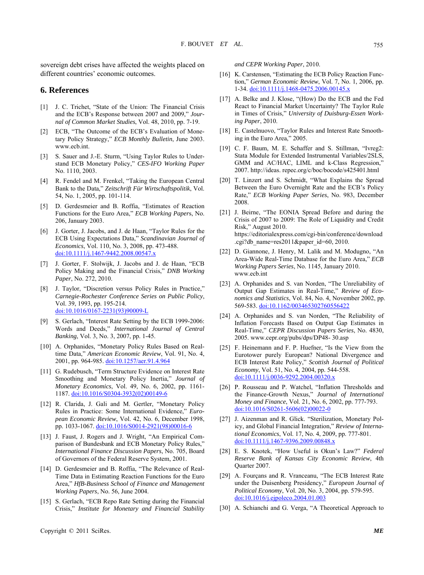sovereign debt crises have affected the weights placed on different countries' economic outcomes.

#### **6. References**

- [1] J. C. Trichet, "State of the Union: The Financial Crisis and the ECB's Response between 2007 and 2009," *Journal of Common Market Studies*, Vol. 48, 2010, pp. 7-19.
- [2] ECB, "The Outcome of the ECB's Evaluation of Monetary Policy Strategy," *ECB Monthly Bulletin*, June 2003. www.ecb.int.
- [3] S. Sauer and J.-E. Sturm, "Using Taylor Rules to Understand ECB Monetary Policy," *CES-IFO Working Paper*  No. 1110, 2003.
- [4] R. Fendel and M. Frenkel, "Taking the European Central Bank to the Data," *Zeitschrift Für Wirtschaftspolitik*, Vol. 54, No. 1, 2005, pp. 101-114.
- [5] D. Gerdesmeier and B. Roffia, "Estimates of Reaction Functions for the Euro Area," *ECB Working Paper*s, No. 206, January 2003.
- [6] J. Gorter, J. Jacobs, and J. de Haan, "Taylor Rules for the ECB Using Expectations Data," *Scandinavian Journal of Economics*, Vol. 110, No. 3, 2008, pp. 473-488. doi:10.1111/j.1467-9442.2008.00547.x
- [7] J. Gorter, F. Stolwijk, J. Jacobs and J. de Haan, "ECB Policy Making and the Financial Crisis," *DNB Working Paper*, No. 272, 2010.
- [8] J. Taylor, "Discretion versus Policy Rules in Practice," *Carnegie-Roche ster Conference Series on Public Policy*, Vol. 39, 1993, pp. 195-214. doi:10.1016/0167-2231(93)90009-L
- [9] S. Gerlach, "Interest Rate Setting by the ECB 1999-2006: Words and Deeds," *International Journal of Central Banking*, Vol. 3, No. 3, 2007, pp. 1-45.
- time Data," *American Economic Review*, Vol. 91, No. 4, [10] A. Orphanides, "Monetary Policy Rules Based on Real-2001, pp. 964-985. doi:10.1257/aer.91.4.964
- [11] G. Rudebusch, "Term Structure Evidence on Interest Rate Smoothing and Monetary Policy Inertia," *Journal of Monetary Economics*, Vol. 49, No. 6, 2002, pp. 1161- 1187. doi:10.1016/S0304-3932(02)00149-6
- [12] R. Clarida, J. Gali and M. Gertler, "Monetary Policy pp. 1033-1067. <u>doi:10.1016/S0014-2921(98)00016-6</u> Rules in Practice: Some International Evidence," *European Economic Review*, Vol. 42, No. 6, December 1998,
- of Governors of the Federal Reserve System, 2001. [13] J. Faust, J. Rogers and J. Wright, "An Empirical Comparison of Bundesbank and ECB Monetary Policy Rules," *International Finance Discussion Papers*, No. 705, Bo ard
- Area," *HfB-Business School of Finance and Management* [14] D. Gerdesmeier and B. Roffia, "The Relevance of Real-Time Data in Estimating Reaction Functions for the Euro *Working Papers*, No. 56, June 2004.
- Crisis," *Institute for Monetary and Financial Stability* [15] S. Gerlach, "ECB Repo Rate Setting during the Financial

*and CEPR Working Paper*, 2010.

- 1-34. <u>doi:10.1111/j.1468-0475.2006.00145.x</u> [16] K. Carstensen, "Estimating the ECB Policy Reaction Function," *German Economic Review*, Vol. 7, No. 1, 2006, pp.
- *ssen Work-*in Times of Crisis," *University of Duisburg-E* [17] A. Belke and J. Klose, "(How) Do the ECB and the Fed React to Financial Market Uncertainty? The Taylor Rule *ing Paper*, 2010.
- [18] E. Castelnuovo, "Taylor Rules and Interest Rate Smoothing in the Euro Area," 2005.
- [19] C. F. Baum, M. E. Schaffer and S. Stillman, "Ivreg2: Stata Module for Extended Instrumental Variables/2SLS, GMM and AC/HAC, LIML and k-Class Regression," 2007. http://ideas. repec.org/c/boc/bocode/s425401.html
- [20] T. Linzert and S. Schmidt, "What Explains the Spread Between the Euro Overnight Rate and the ECB's Policy Rate," *ECB Working Paper Series*, No. 983, December 2008.
- [21] J. Beirne, "The EONIA Spread Before and during the Crisis of 2007 to 2009: The Role of Liquidity and Credit Risk," August 2010. https://editorialexpress.com/cgi-bin/conference/download .cgi?db\_name=res2011&paper\_id=60, 2010.
- [22] D. Giannone, J. Henry, M. Lalik and M. Modugno, "An Area-Wide Real-Time Database for the Euro Area," *ECB Working Papers Series*, No. 1145, January 2010. www.ecb.int
- [23] A. Orphanides and S. van Norden, "The Unreliability of Output Gap Estimates in Real-Time," *Review of Economics and Statistics*, Vol. 84, No. 4, November 2002, pp. 569-583. doi:10.1162/003465302760556422
- [24] A. Orphanides and S. van Norden, "The Reliability of Inflation Forecasts Based on Output Gap Estimates in Real-Time," *CEPR Discussion Papers Series*, No. 4830, 2005. www.cepr.org/pubs/dps/DP48- 30.asp
- [25] F. Heinemann and F. P. Huefner, "Is the View from the Eurotower purely European? National Divergence and ECB Interest Rate Policy," *Scottish Journal of Political Economy*, Vol. 51, No. 4, 2004, pp. 544-558. doi:10.1111/j.0036-9292.2004.00320.x
- [26] P. Rousseau and P. Watchel, "Inflation Thresholds and the Finance-Growth Nexus," *Journal of International Money and Finance*, Vol. 21, No. 6, 2002, pp. 777-793. doi:10.1016/S0261-5606(02)00022-0
- [27] J. Aizenman and R. Glick. "Sterilization, Monetary Policy, and Global Financial Integration," *Review of International Economics*, Vol. 17, No. 4, 2009, pp. 777-801. doi:10.1111/j.1467-9396.2009.00848.x
- [28] E. S. Knotek, "How Useful is Okun's Law?" *Federal Reserve Bank of Kansas City Economic Review*, 4th Quarter 2007.
- [29] A. Fourçans and R. Vranceanu, "The ECB Interest Rate under the Dui senberg Presidency," *European Journal of Political Economy*, Vol. 20, No. 3, 2004, pp. 579-595. [doi:10.1016/j.ejpoleco.2004.01.003](http://dx.doi.org/10.1162/003465302760556422)
- [30] A. Schianchi and G. Verga, "A Theoretical Approach to